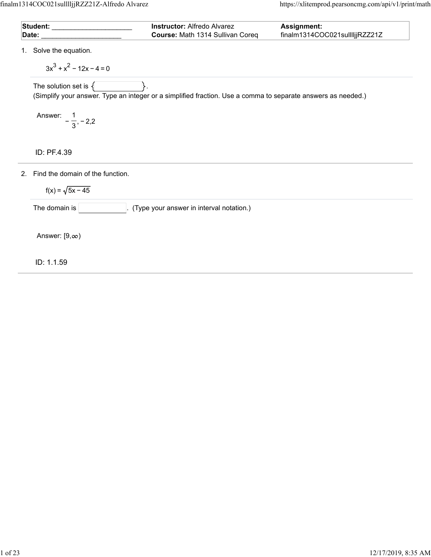| <b>Student:</b> | <b>Instructor:</b> Alfredo Alvarez      | <b>Assignment:</b>             |
|-----------------|-----------------------------------------|--------------------------------|
| Date:           | <b>Course: Math 1314 Sullivan Coreq</b> | finalm1314COC021sulllljjRZZ21Z |

1. Solve the equation.

 $3x<sup>3</sup> + x<sup>2</sup> - 12x - 4 = 0$ 

The solution set is  $\{\_\_\_\_\_\_\right\}.$ 

(Simplify your answer. Type an integer or a simplified fraction. Use a comma to separate answers as needed.)

Answer:  $-\frac{1}{2}, -2, 2$ 3

ID: PF.4.39

2. Find the domain of the function.

 $f(x) = \sqrt{5x - 45}$ 

The domain is  $\boxed{\qquad \qquad}$ . (Type your answer in interval notation.)

Answer:  $[9, \infty)$ 

ID: 1.1.59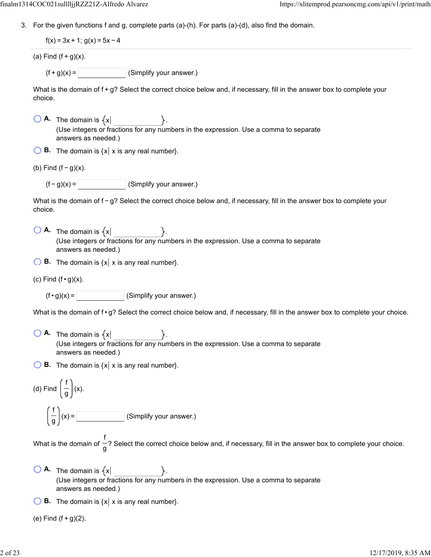3. For the given functions f and g, complete parts (a)-(h). For parts (a)-(d), also find the domain.

 $f(x) = 3x + 1$ ;  $g(x) = 5x - 4$ 

(a) Find  $(f+g)(x)$ .

 $(f + g)(x) =$  (Simplify your answer.)

What is the domain of  $f$  +  $g$ ? Select the correct choice below and, if necessary, fill in the answer box to complete your choice.

 $\bigcirc$  **A.** The domain is  $\{x\}$ (Use integers or fractions for any numbers in the expression. Use a comma to separate answers as needed.)

 $\bigcirc$  **B.** The domain is  $\{x \mid x \text{ is any real number}\}.$ 

(b) Find  $(f - g)(x)$ .

 $(f - g)(x) =$  (Simplify your answer.)

What is the domain of f − g? Select the correct choice below and, if necessary, fill in the answer box to complete your choice.

 $\overline{A}$ . The domain is  $\{x\}$ (Use integers or fractions for any numbers in the expression. Use a comma to separate answers as needed.)

**B.** The domain is  $\{x \mid x \text{ is any real number}\}.$ 

(c) Find  $(f \cdot g)(x)$ .

 $(f \cdot g)(x) =$  (Simplify your answer.)

What is the domain of  $f \cdot g$ ? Select the correct choice below and, if necessary, fill in the answer box to complete your choice.

 $\bigcirc$  **A.** The domain is  $\{x\}$ (Use integers or fractions for any numbers in the expression. Use a comma to separate answers as needed.)

**B.** The domain is  $\{x \mid x \text{ is any real number}\}.$ 

(d) Find 
$$
\left(\frac{f}{g}\right)
$$
 (x).

$$
\left(\frac{f}{g}\right)(x) = \boxed{\qquad \qquad }
$$
 (Simplify your answer.)

What is the domain of  $-$ ? Select the correct choice below and, if necessary, fill in the answer box to complete your choice. f g

- $\bigcirc$  **A.** The domain is  $\{x\}$ (Use integers or fractions for any numbers in the expression. Use a comma to separate answers as needed.)
- **B.** The domain is  $\{x | x \}$  is any real number  $\}$ .

(e) Find  $(f + g)(2)$ .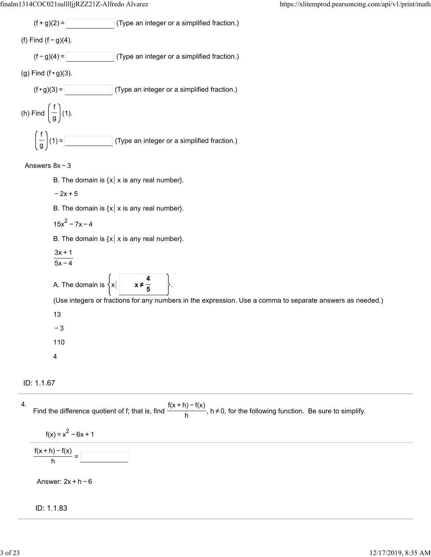

### Answers 8x − 3

- B. The domain is  $\{x \mid x \text{ is any real number}\}.$
- $-2x + 5$

B. The domain is  $\{x \mid x \text{ is any real number}\}.$ 

$$
15x^2 - 7x - 4
$$

B. The domain is  $\{x \mid x \text{ is any real number}\}.$ 

- 3x + 1
- 5x − 4

A. The domain is  $\{x\}$ **4 5**

(Use integers or fractions for any numbers in the expression. Use a comma to separate answers as needed.)

13

− 3

110

4

# ID: 1.1.67

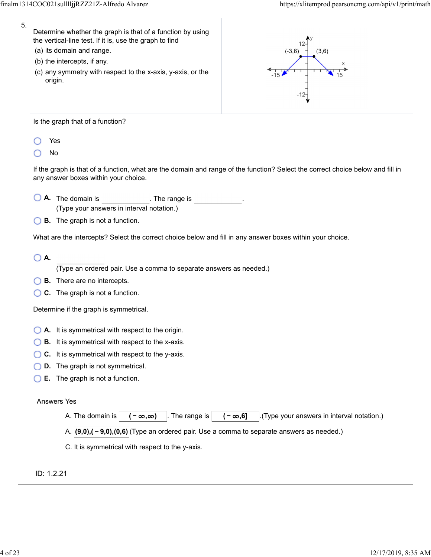- 5.
- Determine whether the graph is that of a function by using the vertical-line test. If it is, use the graph to find
- (a) its domain and range.
- (b) the intercepts, if any.
- (c) any symmetry with respect to the x-axis, y-axis, or the origin.



Is the graph that of a function?

- Yes
- No

If the graph is that of a function, what are the domain and range of the function? Select the correct choice below and fill in any answer boxes within your choice.

- **A.** The domain is . The range is (Type your answers in interval notation.)
- **B.** The graph is not a function.

What are the intercepts? Select the correct choice below and fill in any answer boxes within your choice.

# **A.**

(Type an ordered pair. Use a comma to separate answers as needed.)

- **B.** There are no intercepts.
- **C.** The graph is not a function.

Determine if the graph is symmetrical.

- **A.** It is symmetrical with respect to the origin.
- **B.** It is symmetrical with respect to the x-axis.
- ◯ **C.** It is symmetrical with respect to the y-axis.
- **D.** The graph is not symmetrical.
- **E.** The graph is not a function.

# Answers Yes

|  |  | A. The domain is $ (-\infty,\infty) $ . The range is $ (-\infty,6) $ . (Type your answers in interval notation.) |
|--|--|------------------------------------------------------------------------------------------------------------------|
|  |  |                                                                                                                  |

A. **(9,0),( − 9,0),(0,6)** (Type an ordered pair. Use a comma to separate answers as needed.)

C. It is symmetrical with respect to the y-axis.

ID: 1.2.21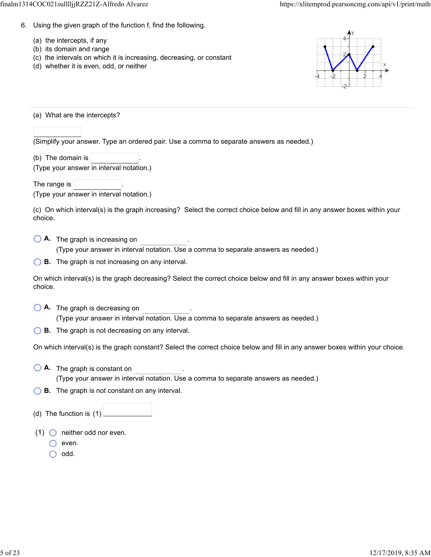- 6. Using the given graph of the function f, find the following.
	- (a) the intercepts, if any
	- (b) its domain and range
	- (c) the intervals on which it is increasing, decreasing, or constant
	- (d) whether it is even, odd, or neither



(a) What are the intercepts?

(Simplify your answer. Type an ordered pair. Use a comma to separate answers as needed.)

(b) The domain is  $\vert$ 

(Type your answer in interval notation.)

The range is (Type your answer in interval notation.)

(c) On which interval(s) is the graph increasing? Select the correct choice below and fill in any answer boxes within your choice.

**A.** The graph is increasing on .

(Type your answer in interval notation. Use a comma to separate answers as needed.)

**B.** The graph is not increasing on any interval.

On which interval(s) is the graph decreasing? Select the correct choice below and fill in any answer boxes within your choice.

- **A.** The graph is decreasing on . (Type your answer in interval notation. Use a comma to separate answers as needed.)
- **B.** The graph is not decreasing on any interval.

On which interval(s) is the graph constant? Select the correct choice below and fill in any answer boxes within your choice.

- **A.** The graph is constant on . (Type your answer in interval notation. Use a comma to separate answers as needed.)
- **B.** The graph is not constant on any interval.
- (d) The function is (1)
- (1)  $\bigcirc$  neither odd nor even.
	- even.

 $\bigcirc$  odd.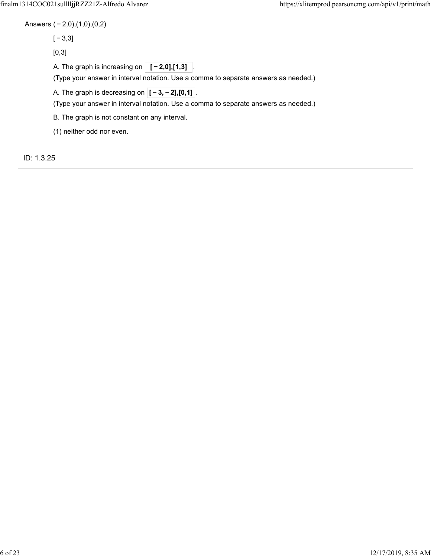Answers ( − 2,0),(1,0),(0,2)

[ − 3,3]

[0,3]

A. The graph is increasing on  $\boxed{[-2,0],[1,3]}$ 

(Type your answer in interval notation. Use a comma to separate answers as needed.)

A. The graph is decreasing on  $\overline{[-3,-2],[0,1]}$ .

(Type your answer in interval notation. Use a comma to separate answers as needed.)

B. The graph is not constant on any interval.

(1) neither odd nor even.

ID: 1.3.25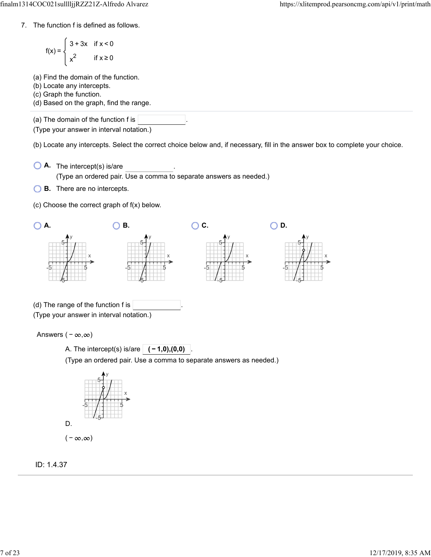7. The function f is defined as follows.

$$
f(x) = \begin{cases} 3 + 3x & \text{if } x < 0 \\ x^2 & \text{if } x \ge 0 \end{cases}
$$

(a) Find the domain of the function.

(b) Locate any intercepts.

(c) Graph the function.

(d) Based on the graph, find the range.

(a) The domain of the function f is

(Type your answer in interval notation.)

(b) Locate any intercepts. Select the correct choice below and, if necessary, fill in the answer box to complete your choice.

- **A.** The intercept(s) is/are . (Type an ordered pair. Use a comma to separate answers as needed.)
- **B.** There are no intercepts.
- (c) Choose the correct graph of f(x) below.



A. The intercept(s) is/are . **( − 1,0),(0,0)**

(Type an ordered pair. Use a comma to separate answers as needed.)



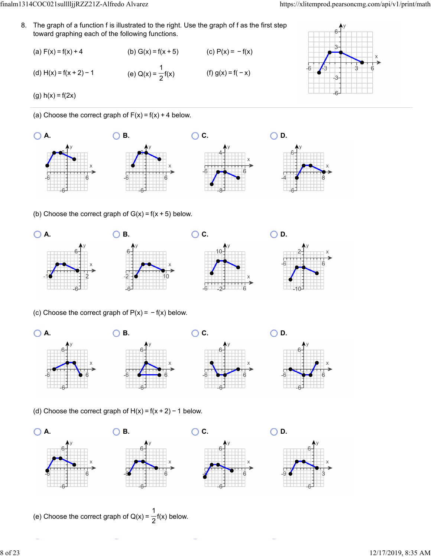8. The graph of a function f is illustrated to the right. Use the graph of f as the first step toward graphing each of the following functions.

(a) 
$$
F(x) = f(x) + 4
$$
  
\n(b)  $G(x) = f(x + 5)$   
\n(c)  $P(x) = -f(x)$   
\n(d)  $H(x) = f(x + 2) - 1$   
\n(e)  $Q(x) = \frac{1}{2}f(x)$   
\n(f)  $g(x) = f(-x)$ 



(g)  $h(x) = f(2x)$ 

(a) Choose the correct graph of  $F(x) = f(x) + 4$  below.



(b) Choose the correct graph of  $G(x) = f(x + 5)$  below.



(c) Choose the correct graph of  $P(x) = -f(x)$  below.



(d) Choose the correct graph of  $H(x) = f(x + 2) - 1$  below.









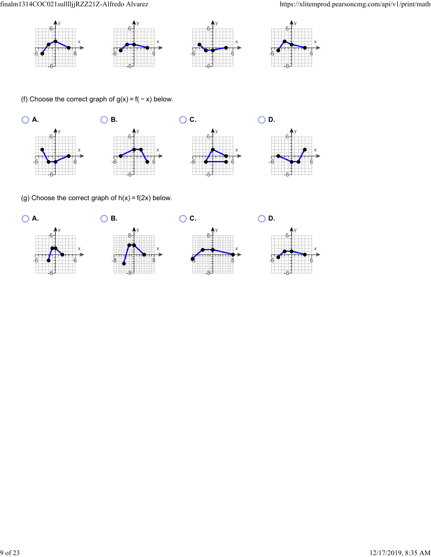

(f) Choose the correct graph of  $g(x) = f(-x)$  below.



(g) Choose the correct graph of  $h(x) = f(2x)$  below.

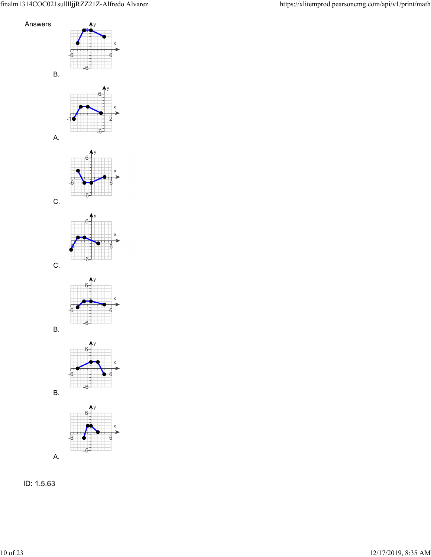

ID: 1.5.63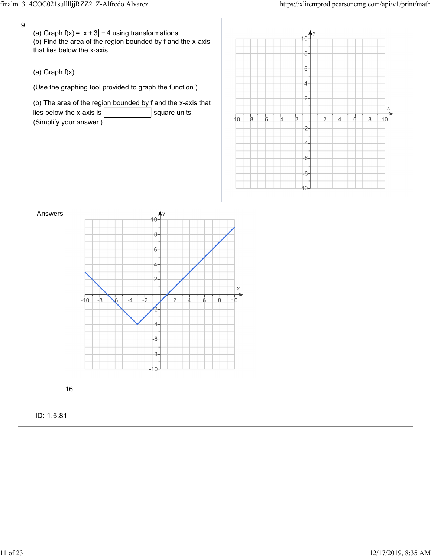9.

(a) Graph f(x) =  $|x+3|$  − 4 using transformations. (b) Find the area of the region bounded by f and the x-axis that lies below the x-axis.

(a) Graph f(x).

(Use the graphing tool provided to graph the function.)

(b) The area of the region bounded by f and the x-axis that lies below the x-axis is  $\vert$  square units. (Simplify your answer.)





16

ID: 1.5.81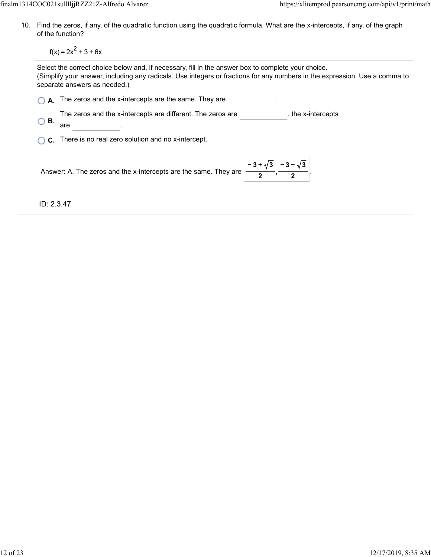10. Find the zeros, if any, of the quadratic function using the quadratic formula. What are the x-intercepts, if any, of the graph of the function?

 $f(x) = 2x^2 + 3 + 6x$ 

Select the correct choice below and, if necessary, fill in the answer box to complete your choice. (Simplify your answer, including any radicals. Use integers or fractions for any numbers in the expression. Use a comma to separate answers as needed.)

|                                           | $\bigcap$ A. The zeros and the x-intercepts are the same. They are |                  |
|-------------------------------------------|--------------------------------------------------------------------|------------------|
| $\bigcirc$ B.                             | The zeros and the x-intercepts are different. The zeros are<br>are | the x-intercepts |
| $\sim$ $\sim$ $\sim$ $\sim$ $\sim$ $\sim$ |                                                                    |                  |

**C.** There is no real zero solution and no x-intercept.

Answer: A. The zeros and the x-intercepts are the same. They are  $\begin{bmatrix} -3+\sqrt{3} & -3-\sqrt{3} \\ \hline 0 & 0 & 0 \end{bmatrix}$ **2 − 3 − 3 2**

ID: 2.3.47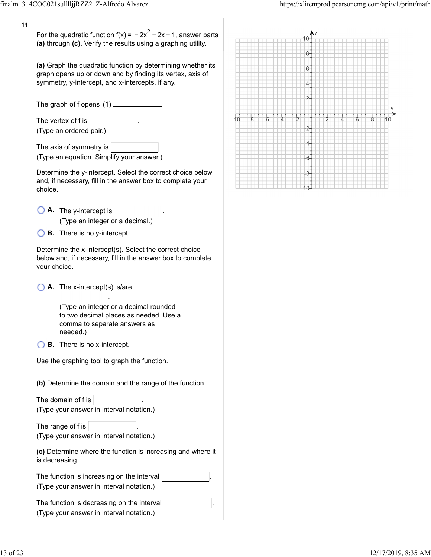11.

For the quadratic function f(x) =  $-2x^2 - 2x - 1$ , answer parts **(a)** through **(c)**. Verify the results using a graphing utility.

**(a)** Graph the quadratic function by determining whether its graph opens up or down and by finding its vertex, axis of symmetry, y-intercept, and x-intercepts, if any.

| The graph of f opens $(1)$                      |  |
|-------------------------------------------------|--|
| The vertex of $f$ is<br>(Type an ordered pair.) |  |
| The axis of symmetry is                         |  |

(Type an equation. Simplify your answer.)

Determine the y-intercept. Select the correct choice below and, if necessary, fill in the answer box to complete your choice.

- **A.** The y-intercept is . (Type an integer or a decimal.)
- **B.** There is no y-intercept.

Determine the x-intercept(s). Select the correct choice below and, if necessary, fill in the answer box to complete your choice.

**A.** The x-intercept(s) is/are

(Type an integer or a decimal rounded to two decimal places as needed. Use a comma to separate answers as needed.)

.

**B.** There is no x-intercept.

Use the graphing tool to graph the function.

**(b)** Determine the domain and the range of the function.

The domain of  $f$  is  $|$ (Type your answer in interval notation.)

The range of  $f$  is  $\parallel$ (Type your answer in interval notation.)

**(c)** Determine where the function is increasing and where it is decreasing.

| The function is increasing on the interval $ $ |  |
|------------------------------------------------|--|
| (Type your answer in interval notation.)       |  |

The function is decreasing on the interval . (Type your answer in interval notation.)

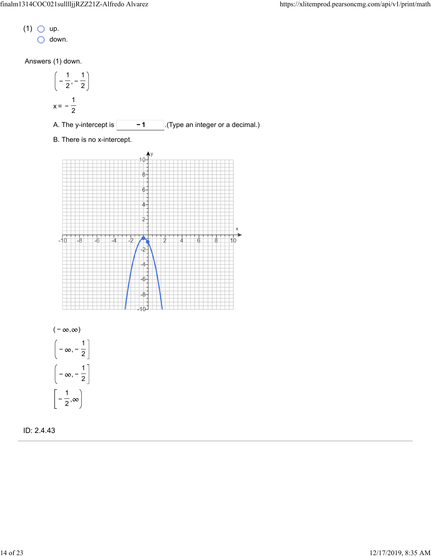- $(1)$  O up.
	- $\bigcirc$  down.

Answers (1) down.

<sup>−</sup> , <sup>−</sup> <sup>1</sup> 2 1 2 x = <sup>−</sup> <sup>1</sup> 2 A. The y-intercept is . **− 1** (Type an integer or a decimal.) B. There is no x-intercept.





ID: 2.4.43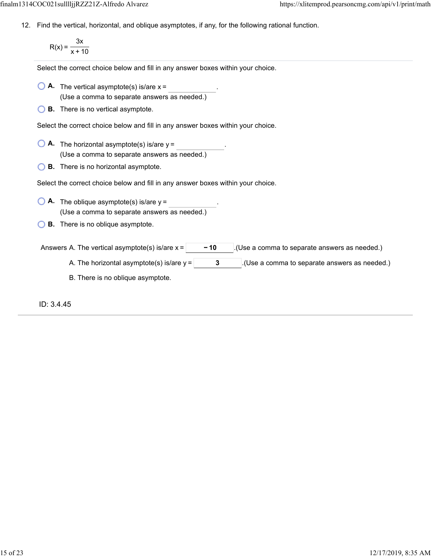12. Find the vertical, horizontal, and oblique asymptotes, if any, for the following rational function.

$$
R(x) = \frac{3x}{x + 10}
$$

Select the correct choice below and fill in any answer boxes within your choice.

- $\bigcirc$  **A.** The vertical asymptote(s) is/are  $x =$ (Use a comma to separate answers as needed.)
- **B.** There is no vertical asymptote.

Select the correct choice below and fill in any answer boxes within your choice.

- $\bigcirc$  **A.** The horizontal asymptote(s) is/are  $y =$ (Use a comma to separate answers as needed.)
- **B.** There is no horizontal asymptote.

Select the correct choice below and fill in any answer boxes within your choice.

- **A.** The oblique asymptote(s) is/are  $y =$  . (Use a comma to separate answers as needed.)
- **B.** There is no oblique asymptote.

Answers A. The vertical asymptote(s) is/are  $x = \begin{vmatrix} 1 & -10 \\ -1 & 1 \end{vmatrix}$ . (Use a comma to separate answers as needed.)

- A. The horizontal asymptote(s) is/are  $y = \begin{vmatrix} 3 & 1 \end{vmatrix}$ . (Use a comma to separate answers as needed.)
- B. There is no oblique asymptote.

ID: 3.4.45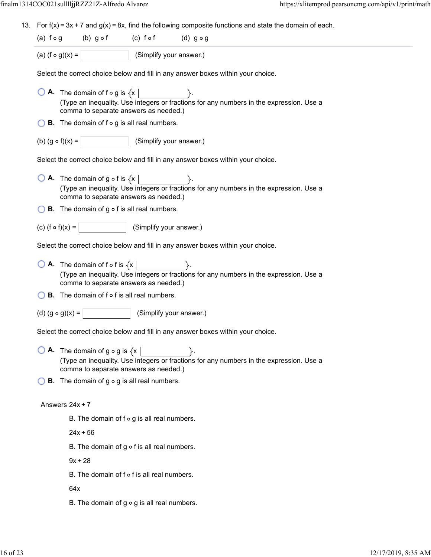13. For  $f(x) = 3x + 7$  and  $g(x) = 8x$ , find the following composite functions and state the domain of each.

| (a) $f \circ g$        | $(b)$ g of | (c) fof                 | $(d)$ gog |
|------------------------|------------|-------------------------|-----------|
| (a) $(f \circ g)(x) =$ |            | (Simplify your answer.) |           |

Select the correct choice below and fill in any answer boxes within your choice.

- $\overline{O}$  **A.** The domain of f  $\circ$  g is  $\{x \mid$ (Type an inequality. Use integers or fractions for any numbers in the expression. Use a comma to separate answers as needed.)
- $\bigcirc$  **B**. The domain of f  $\circ$  g is all real numbers.
- (b)  $(g \circ f)(x) =$  (Simplify your answer.)

Select the correct choice below and fill in any answer boxes within your choice.

- $\bigcirc$  **A.** The domain of g  $\circ$  f is  $\{x \}$ (Type an inequality. Use integers or fractions for any numbers in the expression. Use a comma to separate answers as needed.)
- $\bigcirc$  **B.** The domain of g  $\circ$  f is all real numbers.
- (c)  $(f \circ f)(x) =$  (Simplify your answer.)

Select the correct choice below and fill in any answer boxes within your choice.

- $\bigcirc$  **A.** The domain of f o f is  $\{x \}$ (Type an inequality. Use integers or fractions for any numbers in the expression. Use a comma to separate answers as needed.)
- $\bigcirc$  **B.** The domain of f  $\circ$  f is all real numbers.
- (d)  $(g \circ g)(x) =$  (Simplify your answer.)

Select the correct choice below and fill in any answer boxes within your choice.

**O A.** The domain of  $g \circ g$  is  $\{x \mid \}$ . (Type an inequality. Use integers or fractions for any numbers in the expression. Use a comma to separate answers as needed.)

 $\bigcirc$  **B**. The domain of g  $\circ$  g is all real numbers.

### Answers  $24x + 7$

B. The domain of  $f \circ g$  is all real numbers.

 $24x + 56$ 

B. The domain of  $g \circ f$  is all real numbers.

 $9x + 28$ 

 $B.$  The domain of  $f \circ f$  is all real numbers.

64x

B. The domain of  $g \circ g$  is all real numbers.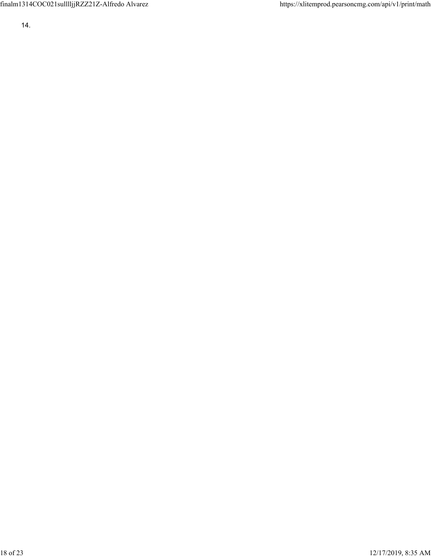finalm1314COC021sulllljjRZZ21Z-Alfredo Alvarez https://xlitemprod.pearsoncmg.com/api/v1/print/math

14.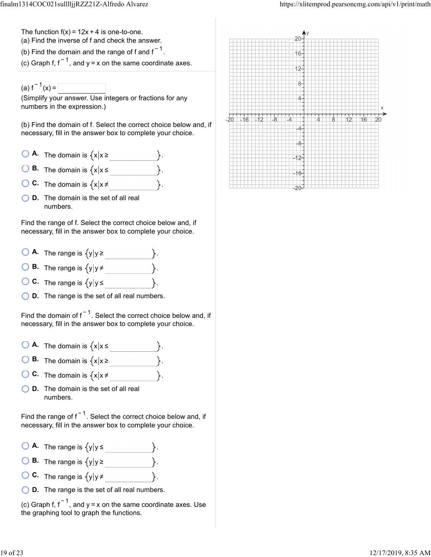The function  $f(x) = 12x + 4$  is one-to-one.

(a) Find the inverse of f and check the answer.

(b) Find the domain and the range of f and f $^{-1}$ .

(c) Graph f, f  $^{-1}$ , and y = x on the same coordinate axes.

(a)  $f^{-1}(x) =$ 

(Simplify your answer. Use integers or fractions for any numbers in the expression.)

(b) Find the domain of f. Select the correct choice below and, if necessary, fill in the answer box to complete your choice.

- $\overline{O}$  **A.** The domain is  $\{x | x \ge$
- **B.** The domain is  $\{x | x \leq \}$ .
- **C.** The domain is  $\{x | x \neq \}$
- **D.** The domain is the set of all real numbers.

Find the range of f. Select the correct choice below and, if necessary, fill in the answer box to complete your choice.

- **A.** The range is . y y ≥
- **B.** The range is  $\{y | y \ne$
- **C.** The range is  $\{y | y \le \}$ .
- **D.** The range is the set of all real numbers.

Find the domain of f $^{-1}$ . Select the correct choice below and, if necessary, fill in the answer box to complete your choice.

- $\bigcirc$  **A.** The domain is  $\{x | x \leq \dots \}$
- **B.** The domain is  $\{x | x \ge$
- **C.** The domain is  $\{x | x \neq \}$ .
- **D.** The domain is the set of all real numbers.

Find the range of f $^{-1}$ . Select the correct choice below and, if necessary, fill in the answer box to complete your choice.

- $\bigcirc$  **A.** The range is  $\{y | y \leq \}$
- **B.** The range is  $\{y | y \ge$
- **C.** The range is  $\{y | y \neq \}$ .
- **D.** The range is the set of all real numbers.

(c) Graph f,  $f^{-1}$ , and y = x on the same coordinate axes. Use the graphing tool to graph the functions.

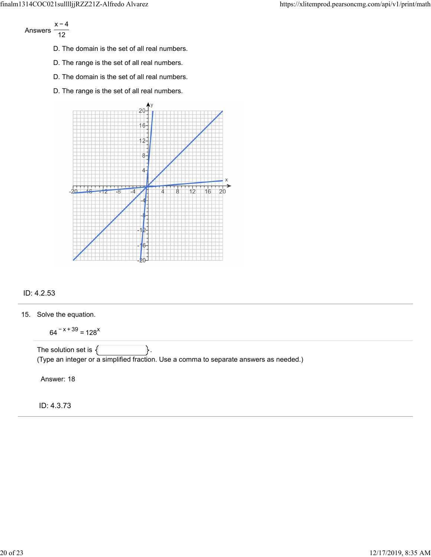Answers x − 4 12

- D. The domain is the set of all real numbers.
- D. The range is the set of all real numbers.
- D. The domain is the set of all real numbers.
- D. The range is the set of all real numbers.



# ID: 4.2.53

15. Solve the equation.

 $64^{-x + 39} = 128^{x}$ 

The solution set is  $\{$   $\}$ . (Type an integer or a simplified fraction. Use a comma to separate answers as needed.)

Answer: 18

ID: 4.3.73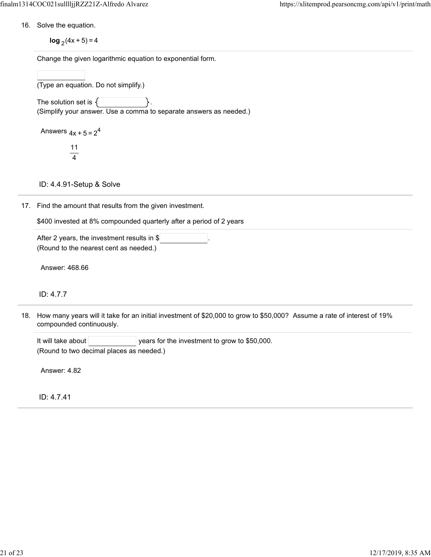16. Solve the equation.

**log**  $_2$  (4x + 5) = 4

Change the given logarithmic equation to exponential form.

(Type an equation. Do not simplify.)

The solution set is  $\{$ (Simplify your answer. Use a comma to separate answers as needed.)

Answers  $4x + 5 = 2^4$ 

11 4

ID: 4.4.91-Setup & Solve

17. Find the amount that results from the given investment.

\$400 invested at 8% compounded quarterly after a period of 2 years

After 2 years, the investment results in  $\frac{1}{2}$ (Round to the nearest cent as needed.)

Answer: 468.66

ID: 4.7.7

18. How many years will it take for an initial investment of \$20,000 to grow to \$50,000? Assume a rate of interest of 19% compounded continuously.

It will take about  $|$  years for the investment to grow to \$50,000. (Round to two decimal places as needed.)

Answer: 4.82

ID: 4.7.41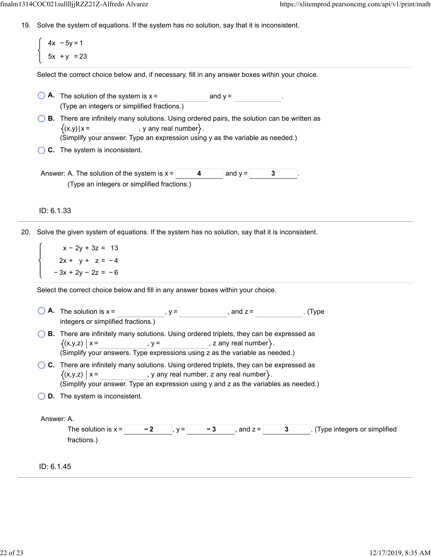19. Solve the system of equations. If the system has no solution, say that it is inconsistent.

4x − 5y = 1 5x + y = 23

Select the correct choice below and, if necessary, fill in any answer boxes within your choice.

- $\bigcirc$  **A.** The solution of the system is  $x =$  and  $y =$ (Type an integers or simplified fractions.)
- **B.** There are infinitely many solutions. Using ordered pairs, the solution can be written as  $(x,y)|x =$ , y any real number  $\}$ . (Simplify , your answer. Type an expression using y as the variable as needed.)
- **C.** The system is inconsistent.
- Answer: A. The solution of the system is  $x = \begin{vmatrix} 4 & 0 \\ 0 & 4 \end{vmatrix}$  and  $y = \begin{vmatrix} 3 & 0 \\ 0 & 4 \end{vmatrix}$ (Type an integers or simplified fractions.)

# ID: 6.1.33

20. Solve the given system of equations. If the system has no solution, say that it is inconsistent.

x − 2y + 3z = 13  $2x + y + z = -4$ − 3x + 2y − 2z = − 6

Select the correct choice below and fill in any answer boxes within your choice.

**A.** The solution is  $x =$  ,  $y =$  , and  $z =$  . (Type integers or simplified fractions.)  $=$  ,  $y =$  , and  $z =$ **B.** There are infinitely many solutions. Using ordered triplets, they can be expressed as  $(x,y,z) \mid x =$  ,  $y =$  ,  $z \text{ any real number}$ . (Simplify your answers. Type expressions using z as the variable as needed.) **C.** There are infinitely many solutions. Using ordered triplets, they can be expressed as  $(x,y,z)$  |  $x =$ , y any real number, z any real number  $\}$ . (Simplify your answer. Type an expression using y and z as the variables as needed.) **D.** The system is inconsistent. Answer: A. The solution is x =  $\vert$  −2 , y =  $\vert$  −3 , and z =  $\vert$  3 . (Type integers or simplified fractions.)

ID: 6.1.45